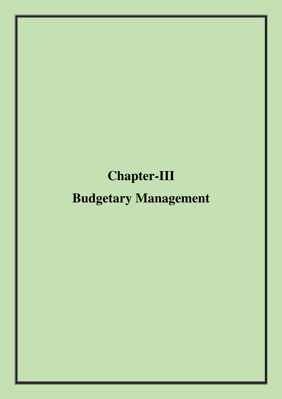## **Chapter-III**

# **Budgetary Management**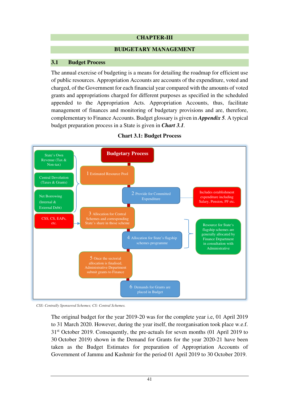## **CHAPTER-III**

#### **BUDGETARY MANAGEMENT**

## **3.1 Budget Process**

The annual exercise of budgeting is a means for detailing the roadmap for efficient use of public resources. Appropriation Accounts are accounts of the expenditure, voted and charged, of the Government for each financial year compared with the amounts of voted grants and appropriations charged for different purposes as specified in the scheduled appended to the Appropriation Acts. Appropriation Accounts, thus, facilitate management of finances and monitoring of budgetary provisions and are, therefore, complementary to Finance Accounts. Budget glossary is given in *Appendix 5.* A typical budget preparation process in a State is given in *Chart 3.1.*



## **Chart 3.1: Budget Process**

*CSS: Centrally Sponsored Schemes; CS: Central Schemes.*

The original budget for the year 2019-20 was for the complete year i.e, 01 April 2019 to 31 March 2020. However, during the year itself, the reorganisation took place w.e.f. 31<sup>st</sup> October 2019. Consequently, the pre-actuals for seven months (01 April 2019 to 30 October 2019) shown in the Demand for Grants for the year 2020-21 have been taken as the Budget Estimates for preparation of Appropriation Accounts of Government of Jammu and Kashmir for the period 01 April 2019 to 30 October 2019.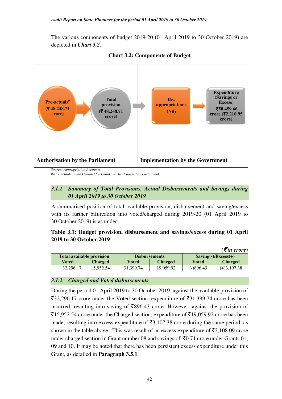The various components of budget 2019-20 (01 April 2019 to 30 October 2019) are depicted in *Chart 3.2.*



**Chart 3.2: Components of Budget**

*Source: Appropriation Accounts* 

*#-Pre actuals in the Demand for Grants 2020-21 passed by Parliament* 

## *3.1.1 Summary of Total Provisions, Actual Disbursements and Savings during 01 April 2019 to 30 October 2019*

A summarised position of total available provision, disbursement and saving/excess with its further bifurcation into voted/charged during 2019-20 (01 April 2019 to 30 October 2019) is as under:

## **Table 3.1: Budget provision, disbursement and savings/excess during 01 April 2019 to 30 October 2019**

|                                  |                |           |                      |                         | $( \bar{\mathbf{\xi}}$ in crore) |  |
|----------------------------------|----------------|-----------|----------------------|-------------------------|----------------------------------|--|
| <b>Total available provision</b> |                |           | <b>Disbursements</b> | $Saving(-)/Excess(+)$   |                                  |  |
| Voted                            | <b>Charged</b> | Voted     | <b>Charged</b>       | <b>Charged</b><br>Voted |                                  |  |
| 32,296.17                        | 15.952.54      | 31.399.74 | 19.059.92            | (-)896.43               | $(+)3,107.38$                    |  |

## *3.1.2. Charged and Voted disbursements*

During the period 01 April 2019 to 30 October 2019, against the available provision of  $\overline{3}32,296.17$  crore under the Voted section, expenditure of  $\overline{3}31,399.74$  crore has been incurred, resulting into saving of  $\overline{5896.43}$  crore. However, against the provision of  $\overline{5}15,952.54$  crore under the Charged section, expenditure of  $\overline{5}19,059.92$  crore has been made, resulting into excess expenditure of  $\bar{\mathfrak{F}}3,107.38$  crore during the same period, as shown in the table above. This was result of an excess expenditure of  $\bar{\mathfrak{z}}3,108.09$  crore under charged section in Grant number 08 and savings of  $\overline{5}0.71$  crore under Grants 01, 09 and 10. It may be noted that there has been persistent excess expenditure under this Grant, as detailed in **Paragraph 3.5.1**.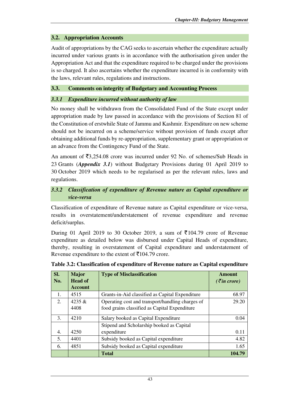## **3.2. Appropriation Accounts**

Audit of appropriations by the CAG seeks to ascertain whether the expenditure actually incurred under various grants is in accordance with the authorisation given under the Appropriation Act and that the expenditure required to be charged under the provisions is so charged. It also ascertains whether the expenditure incurred is in conformity with the laws, relevant rules, regulations and instructions.

## **3.3. Comments on integrity of Budgetary and Accounting Process**

## *3.3.1 Expenditure incurred without authority of law*

No money shall be withdrawn from the Consolidated Fund of the State except under appropriation made by law passed in accordance with the provisions of Section 81 of the Constitution of erstwhile State of Jammu and Kashmir. Expenditure on new scheme should not be incurred on a scheme/service without provision of funds except after obtaining additional funds by re-appropriation, supplementary grant or appropriation or an advance from the Contingency Fund of the State.

An amount of  $\overline{53,254.08}$  crore was incurred under 92 No. of schemes/Sub Heads in 23 Grants (*Appendix 3.1*) without Budgetary Provisions during 01 April 2019 to 30 October 2019 which needs to be regularised as per the relevant rules, laws and regulations.

## *3.3.2**Classification of expenditure of Revenue nature as Capital expenditure or vice-versa*

Classification of expenditure of Revenue nature as Capital expenditure or vice-versa, results in overstatement/understatement of revenue expenditure and revenue deficit/surplus.

During 01 April 2019 to 30 October 2019, a sum of  $\overline{\xi}$ 104.79 crore of Revenue expenditure as detailed below was disbursed under Capital Heads of expenditure, thereby, resulting in overstatement of Capital expenditure and understatement of Revenue expenditure to the extent of  $\bar{\tau}$ 104.79 crore.

| SI. | <b>Major</b>   | <b>Type of Misclassification</b>                 | Amount               |
|-----|----------------|--------------------------------------------------|----------------------|
| No. | <b>Head of</b> |                                                  | $(\bar{z}$ in crore) |
|     | <b>Account</b> |                                                  |                      |
| 1.  | 4515           | Grants-in-Aid classified as Capital Expenditure  | 68.97                |
| 2.  | 4235 $\&$      | Operating cost and transport/handling charges of | 29.20                |
|     | 4408           | food grains classified as Capital Expenditure    |                      |
| 3.  | 4210           | Salary booked as Capital Expenditure             | 0.04                 |
|     |                | Stipend and Scholarship booked as Capital        |                      |
| 4.  | 4250           | expenditure                                      | 0.11                 |
| 5.  | 4401           | Subsidy booked as Capital expenditure            | 4.82                 |
| 6.  | 4851           | Subsidy booked as Capital expenditure            | 1.65                 |
|     |                | <b>Total</b>                                     | 104.79               |

| Table 3.2: Classification of expenditure of Revenue nature as Capital expenditure |  |  |  |
|-----------------------------------------------------------------------------------|--|--|--|
|                                                                                   |  |  |  |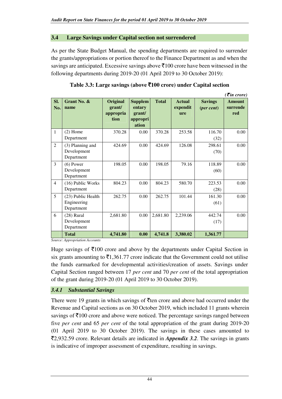## **3.4 Large Savings under Capital section not surrendered**

As per the State Budget Manual, the spending departments are required to surrender the grants/appropriations or portion thereof to the Finance Department as and when the savings are anticipated. Excessive savings above  $\bar{\tau}100$  crore have been witnessed in the following departments during 2019-20 (01 April 2019 to 30 October 2019):

|                |                                                 |                                         |                                                         |              |                                  |                                       | $( \bar{\mathbf{z}}$ in crore)   |
|----------------|-------------------------------------------------|-----------------------------------------|---------------------------------------------------------|--------------|----------------------------------|---------------------------------------|----------------------------------|
| SI.<br>No.     | Grant No. &<br>name                             | Original<br>grant/<br>appropria<br>tion | <b>Supplem</b><br>entary<br>grant/<br>appropri<br>ation | <b>Total</b> | <b>Actual</b><br>expendit<br>ure | <b>Savings</b><br>$(\text{per cent})$ | <b>Amount</b><br>surrende<br>red |
| $\mathbf{1}$   | $(2)$ Home<br>Department                        | 370.28                                  | 0.00                                                    | 370.28       | 253.58                           | 116.70<br>(32)                        | 0.00                             |
| $\overline{2}$ | (3) Planning and<br>Development<br>Department   | 424.69                                  | 0.00                                                    | 424.69       | 126.08                           | 298.61<br>(70)                        | 0.00                             |
| 3              | $(6)$ Power<br>Development<br>Department        | 198.05                                  | 0.00                                                    | 198.05       | 79.16                            | 118.89<br>(60)                        | 0.00                             |
| $\overline{4}$ | (16) Public Works<br>Department                 | 804.23                                  | 0.00                                                    | 804.23       | 580.70                           | 223.53<br>(28)                        | 0.00                             |
| 5              | (23) Public Health<br>Engineering<br>Department | 262.75                                  | 0.00                                                    | 262.75       | 101.44                           | 161.30<br>(61)                        | 0.00                             |
| 6              | $(28)$ Rural<br>Development<br>Department       | 2,681.80                                | 0.00                                                    | 2,681.80     | 2,239.06                         | 442.74<br>(17)                        | 0.00                             |
|                | <b>Total</b>                                    | 4,741.80                                | 0.00                                                    | 4,741.8      | 3,380.02                         | 1,361.77                              |                                  |

|  |  |  | Table 3.3: Large savings (above ₹100 crore) under Capital section |
|--|--|--|-------------------------------------------------------------------|
|--|--|--|-------------------------------------------------------------------|

*Source: Appropriation Accounts* 

Huge savings of  $\bar{\tau}$ 100 crore and above by the departments under Capital Section in six grants amounting to  $\bar{\tau}$ 1,361.77 crore indicate that the Government could not utilise the funds earmarked for developmental activities/creation of assets. Savings under Capital Section ranged between 17 *per cent* and 70 *per cent* of the total appropriation of the grant during 2019-20 (01 April 2019 to 30 October 2019).

## *3.4.1 Substantial Savings*

There were 19 grants in which savings of  $\bar{\tau}$  ten crore and above had occurred under the Revenue and Capital sections as on 30 October 2019, which included 11 grants wherein savings of  $\bar{\tau}$ 100 crore and above were noticed. The percentage savings ranged between five *per cent* and 65 *per cent* of the total appropriation of the grant during 2019-20 (01 April 2019 to 30 October 2019). The savings in these cases amounted to `2,932.59 crore. Relevant details are indicated in *Appendix 3.2*. The savings in grants is indicative of improper assessment of expenditure, resulting in savings.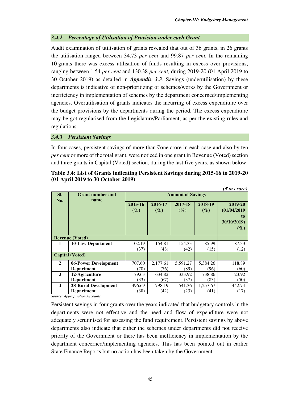## *3.4.2 Percentage of Utilisation of Provision under each Grant*

Audit examination of utilisation of grants revealed that out of 36 grants, in 26 grants the utilisation ranged between 34.73 *per cent* and 99.87 *per cent.* In the remaining 10 grants there was excess utilisation of funds resulting in excess over provisions, ranging between 1.54 *per cent* and 130.38 *per cent,* during 2019-20 (01 April 2019 to 30 October 2019) as detailed in *Appendix 3.3*. Savings (underutilisation) by these departments is indicative of non-prioritizing of schemes/works by the Government or inefficiency in implementation of schemes by the department concerned/implementing agencies. Overutilisation of grants indicates the incurring of excess expenditure over the budget provisions by the departments during the period. The excess expenditure may be got regularised from the Legislature/Parliament, as per the existing rules and regulations.

## *3.4.3 Persistent Savings*

In four cases, persistent savings of more than  $\bar{\tau}$  one crore in each case and also by ten *per cent* or more of the total grant, were noticed in one grant in Revenue (Voted) section and three grants in Capital (Voted) section, during the last five years, as shown below:

|                         |                             |                   |                   |                          |                   | $( \bar{\mathbf{z}}$ in crore)                        |
|-------------------------|-----------------------------|-------------------|-------------------|--------------------------|-------------------|-------------------------------------------------------|
| SI.                     | <b>Grant number and</b>     |                   |                   | <b>Amount of Savings</b> |                   |                                                       |
| No.                     | name                        | 2015-16<br>$(\%)$ | 2016-17<br>$(\%)$ | 2017-18<br>$(\%)$        | 2018-19<br>$(\%)$ | 2019-20<br>(01/04/2019<br>to<br>30/10/2019)<br>$(\%)$ |
|                         | <b>Revenue (Voted)</b>      |                   |                   |                          |                   |                                                       |
| 1                       | <b>10-Law Department</b>    | 102.19            | 154.81            | 154.33                   | 85.99             | 87.33                                                 |
|                         |                             | (37)              | (48)              | (42)                     | (15)              | (12)                                                  |
|                         | <b>Capital (Voted)</b>      |                   |                   |                          |                   |                                                       |
| $\mathbf{2}$            | 06-Power Development        | 707.60            | 2,177.61          | 5,591.27                 | 5,384.26          | 118.89                                                |
|                         | <b>Department</b>           | (70)              | (76)              | (89)                     | (96)              | (60)                                                  |
| 3                       | 12-Agriculture              | 179.63            | 634.82            | 333.92                   | 738.86            | 23.92                                                 |
|                         | <b>Department</b>           | (33)              | (67)              | (37)                     | (83)              | (50)                                                  |
| $\overline{\mathbf{4}}$ | <b>28-Rural Development</b> | 496.69            | 798.19            | 541.36                   | 1,257.67          | 442.74                                                |
|                         | <b>Department</b>           | (38)              | (42)              | (23)                     | (41)              | (17)                                                  |

#### **Table 3.4: List of Grants indicating Persistent Savings during 2015-16 to 2019-20 (01 April 2019 to 30 October 2019)**

*Source: Appropriation Accounts* 

Persistent savings in four grants over the years indicated that budgetary controls in the departments were not effective and the need and flow of expenditure were not adequately scrutinised for assessing the fund requirement. Persistent savings by above departments also indicate that either the schemes under departments did not receive priority of the Government or there has been inefficiency in implementation by the department concerned/implementing agencies. This has been pointed out in earlier State Finance Reports but no action has been taken by the Government.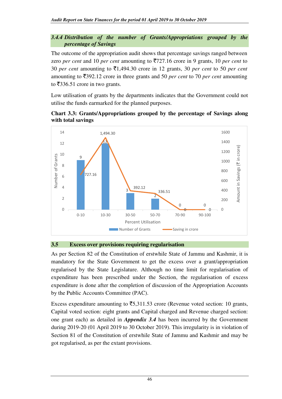#### *3.4.4 Distribution of the number of Grants/Appropriations grouped by the percentage of Savings*

The outcome of the appropriation audit shows that percentage savings ranged between zero *per cent* and 10 *per cent* amounting to `727.16 crore in 9 grants, 10 *per cent* to 30 *per cent* amounting to  $\overline{51,494.30}$  crore in 12 grants, 30 *per cent* to 50 *per cent* amounting to  $\overline{5}392.12$  crore in three grants and 50 *per cent* to 70 *per cent* amounting to  $\overline{\xi}$ 336.51 crore in two grants.

Low utilisation of grants by the departments indicates that the Government could not utilise the funds earmarked for the planned purposes.

**Chart 3.3: Grants/Appropriations grouped by the percentage of Savings along with total savings** 



#### **3.5 Excess over provisions requiring regularisation**

As per Section 82 of the Constitution of erstwhile State of Jammu and Kashmir, it is mandatory for the State Government to get the excess over a grant/appropriation regularised by the State Legislature. Although no time limit for regularisation of expenditure has been prescribed under the Section, the regularisation of excess expenditure is done after the completion of discussion of the Appropriation Accounts by the Public Accounts Committee (PAC).

Excess expenditure amounting to  $\overline{5,311.53}$  crore (Revenue voted section: 10 grants, Capital voted section: eight grants and Capital charged and Revenue charged section: one grant each) as detailed in *Appendix 3.4* has been incurred by the Government during 2019-20 (01 April 2019 to 30 October 2019). This irregularity is in violation of Section 81 of the Constitution of erstwhile State of Jammu and Kashmir and may be got regularised, as per the extant provisions.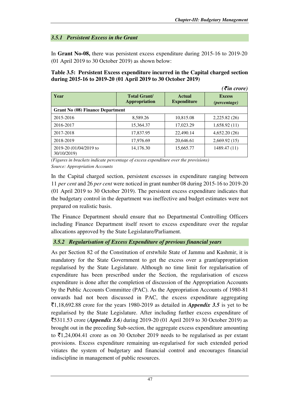## *3.5.1 Persistent Excess in the Grant*

In **Grant No-08,** there was persistent excess expenditure during 2015-16 to 2019-20 (01 April 2019 to 30 October 2019) as shown below:

## **Table 3.5: Persistent Excess expenditure incurred in the Capital charged section during 2015-16 to 2019-20 (01 April 2019 to 30 October 2019)**

*(*` *in crore)* 

| Year                                    | <b>Total Grant/</b><br><b>Actual</b><br><b>Appropriation</b><br><b>Expenditure</b> |           | <b>Excess</b><br><i>(percentage)</i> |
|-----------------------------------------|------------------------------------------------------------------------------------|-----------|--------------------------------------|
| <b>Grant No (08) Finance Department</b> |                                                                                    |           |                                      |
| 2015-2016                               | 8,589.26                                                                           | 10,815.08 | 2,225.82 (26)                        |
| 2016-2017                               | 15.364.37                                                                          | 17.023.29 | 1,658.92(11)                         |
| 2017-2018                               | 17,837.95                                                                          | 22,490.14 | 4,652.20(26)                         |
| 2018-2019                               | 17,976.69                                                                          | 20,646.61 | 2,669.92(15)                         |
| 2019-20 (01/04/2019 to<br>30/10/2019)   | 14,176.30                                                                          | 15,665.77 | 1489.47 (11)                         |

*(Figures in brackets indicate percentage of excess expenditure over the provisions) Source: Appropriation Accounts* 

In the Capital charged section, persistent excesses in expenditure ranging between 11 *per cent* and 26 *per cent* were noticed in grant number 08 during 2015-16 to 2019-20 (01 April 2019 to 30 October 2019). The persistent excess expenditure indicates that the budgetary control in the department was ineffective and budget estimates were not prepared on realistic basis.

The Finance Department should ensure that no Departmental Controlling Officers including Finance Department itself resort to excess expenditure over the regular allocations approved by the State Legislature/Parliament.

## *3.5.2 Regularisation of Excess Expenditure of previous financial years*

As per Section 82 of the Constitution of erstwhile State of Jammu and Kashmir, it is mandatory for the State Government to get the excess over a grant/appropriation regularised by the State Legislature. Although no time limit for regularisation of expenditure has been prescribed under the Section, the regularisation of excess expenditure is done after the completion of discussion of the Appropriation Accounts by the Public Accounts Committee (PAC). As the Appropriation Accounts of 1980-81 onwards had not been discussed in PAC, the excess expenditure aggregating  $\overline{5}1,18,692.88$  crore for the years 1980-2019 as detailed in *Appendix 3.5* is yet to be regularised by the State Legislature. After including further excess expenditure of `5311.53 crore (*Appendix 3.6)* during 2019-20 (01 April 2019 to 30 October 2019) as brought out in the preceding Sub-section, the aggregate excess expenditure amounting to  $\bar{\mathfrak{e}}1,24,004.41$  crore as on 30 October 2019 needs to be regularised as per extant provisions. Excess expenditure remaining un-regularised for such extended period vitiates the system of budgetary and financial control and encourages financial indiscipline in management of public resources.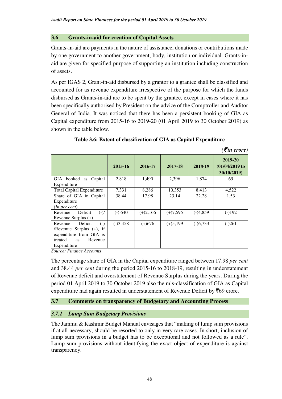## **3.6 Grants-in-aid for creation of Capital Assets**

Grants-in-aid are payments in the nature of assistance, donations or contributions made by one government to another government, body, institution or individual. Grants-inaid are given for specified purpose of supporting an institution including construction of assets.

As per IGAS 2, Grant-in-aid disbursed by a grantor to a grantee shall be classified and accounted for as revenue expenditure irrespective of the purpose for which the funds disbursed as Grants-in-aid are to be spent by the grantee, except in cases where it has been specifically authorised by President on the advice of the Comptroller and Auditor General of India. It was noticed that there has been a persistent booking of GIA as Capital expenditure from 2015-16 to 2019-20 (01 April 2019 to 30 October 2019) as shown in the table below.

|                                                                                                                                         | 2015-16    | 2016-17    | 2017-18    | 2018-19    | 2019-20<br>$(01/04/2019)$ to<br>30/10/2019) |
|-----------------------------------------------------------------------------------------------------------------------------------------|------------|------------|------------|------------|---------------------------------------------|
| GIA booked as Capital<br>Expenditure                                                                                                    | 2,818      | 1,490      | 2,396      | 1,874      | 69                                          |
| <b>Total Capital Expenditure</b>                                                                                                        | 7,331      | 8,286      | 10,353     | 8,413      | 4,522                                       |
| Share of GIA in Capital<br>Expenditure<br>(In per cent)                                                                                 | 38.44      | 17.98      | 23.14      | 22.28      | 1.53                                        |
| $(-)/$<br>Deficit<br>Revenue<br>Revenue Surplus $(+)$                                                                                   | $(-) 640$  | $(+)2,166$ | $(+)7,595$ | $(-)4,859$ | $(-1)192$                                   |
| Deficit<br>$(-)$<br>Revenue<br>/Revenue Surplus $(+)$ , if<br>expenditure from GIA is<br>treated<br>Revenue<br><b>as</b><br>Expenditure | $(-)3,458$ | $(+)676$   | $(+)5,199$ | $(-)6,733$ | $(-)261$                                    |

## **Table 3.6: Extent of classification of GIA as Capital Expenditure**

 $( \bar{\mathcal{F}}$ *in crore*)

*Source: Finance Accounts* 

The percentage share of GIA in the Capital expenditure ranged between 17.98 *per cent* and 38.44 *per cent* during the period 2015-16 to 2018-19, resulting in understatement of Revenue deficit and overstatement of Revenue Surplus during the years. During the period 01 April 2019 to 30 October 2019 also the mis-classification of GIA as Capital expenditure had again resulted in understatement of Revenue Deficit by  $\bar{z}69$  crore.

## **3.7 Comments on transparency of Budgetary and Accounting Process**

## *3.7.1 Lump Sum Budgetary Provisions*

The Jammu & Kashmir Budget Manual envisages that "making of lump sum provisions if at all necessary, should be resorted to only in very rare cases. In short, inclusion of lump sum provisions in a budget has to be exceptional and not followed as a rule". Lump sum provisions without identifying the exact object of expenditure is against transparency.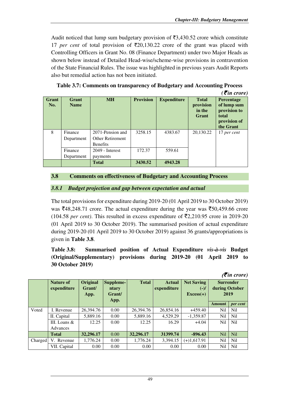Audit noticed that lump sum budgetary provision of  $\overline{33,430.52}$  crore which constitute 17 *per cent* of total provision of  $\overline{20,130.22}$  crore of the grant was placed with Controlling Officers in Grant No. 08 (Finance Department) under two Major Heads as shown below instead of Detailed Head-wise/scheme-wise provisions in contravention of the State Financial Rules. The issue was highlighted in previous years Audit Reports also but remedial action has not been initiated.

**Table 3.7: Comments on transparency of Budgetary and Accounting Process** 

|              |                      |                   |                  |                    |                                              | $( \bar{\mathbf{z}}$ in crore)                                                  |
|--------------|----------------------|-------------------|------------------|--------------------|----------------------------------------------|---------------------------------------------------------------------------------|
| Grant<br>No. | Grant<br><b>Name</b> | <b>MH</b>         | <b>Provision</b> | <b>Expenditure</b> | <b>Total</b><br>provision<br>in the<br>Grant | Percentage<br>of lump sum<br>provision to<br>total<br>provision of<br>the Grant |
| 8            | Finance              | 2071-Pension and  | 3258.15          | 4383.67            | 20,130.22                                    | 17 per cent                                                                     |
|              | Department           | Other Retirement  |                  |                    |                                              |                                                                                 |
|              |                      | <b>Benefits</b>   |                  |                    |                                              |                                                                                 |
|              | Finance              | $2049$ - Interest | 172.37           | 559.61             |                                              |                                                                                 |
|              | Department           | payments          |                  |                    |                                              |                                                                                 |
|              |                      | <b>Total</b>      | 3430.52          | 4943.28            |                                              |                                                                                 |

## **3.8 Comments on effectiveness of Budgetary and Accounting Process**

## *3.8.1 Budget projection and gap between expectation and actual*

The total provisions for expenditure during 2019-20 (01 April 2019 to 30 October 2019) was  $\text{\textsterling}48,248.71$  crore. The actual expenditure during the year was  $\text{\textsterling}50,459.66$  crore (104.58 *per cent*). This resulted in excess expenditure of  $\overline{5}2,210.95$  crore in 2019-20 (01 April 2019 to 30 October 2019). The summarised position of actual expenditure during 2019-20 (01 April 2019 to 30 October 2019) against 36 grants/appropriations is given in **Table 3.8**.

**Table 3.8: Summarised position of Actual Expenditure** *vis-à-vis* **Budget (Original/Supplementary) provisions during 2019-20 (01 April 2019 to 30 October 2019)**

|         |                                 |                                   |                                      |              |                              |                                            |                                            | (V <i>u</i> rcrore) |
|---------|---------------------------------|-----------------------------------|--------------------------------------|--------------|------------------------------|--------------------------------------------|--------------------------------------------|---------------------|
|         | <b>Nature of</b><br>expenditure | <b>Original</b><br>Grant/<br>App. | Suppleme-<br>ntary<br>Grant/<br>App. | <b>Total</b> | <b>Actual</b><br>expenditure | <b>Net Saving</b><br>$(-)/$<br>$Excess(+)$ | <b>Surrender</b><br>during October<br>2019 |                     |
|         |                                 |                                   |                                      |              |                              |                                            | <b>Amount</b>                              | per cent            |
| Voted   | I. Revenue                      | 26,394.76                         | 0.00                                 | 26,394.76    | 26,854.16                    | $+459.40$                                  | Nil                                        | N <sub>il</sub>     |
|         | II. Capital                     | 5,889.16                          | 0.00                                 | 5,889.16     | 4,529.29                     | $-1,359.87$                                | Nil                                        | N <sub>il</sub>     |
|         | III. Loans $&$                  | 12.25                             | 0.00                                 | 12.25        | 16.29                        | $+4.04$                                    | N <sub>il</sub>                            | N <sub>il</sub>     |
|         | Advances                        |                                   |                                      |              |                              |                                            |                                            |                     |
|         | <b>Total</b>                    | 32,296.17                         | 0.00                                 | 32,296.17    | 31399.74                     | $-896.43$                                  | N <sub>il</sub>                            | N <sub>il</sub>     |
| Charged | V. Revenue                      | 1,776.24                          | 0.00                                 | 1,776.24     | 3,394.15                     | $(+)1,617.91$                              | Nil                                        | N <sub>il</sub>     |
|         | VII. Capital                    | 0.00                              | 0.00                                 | 0.00         | 0.00                         | 0.00                                       | Nil                                        | N <sub>il</sub>     |

 $\mathcal{F}$ *in crore*)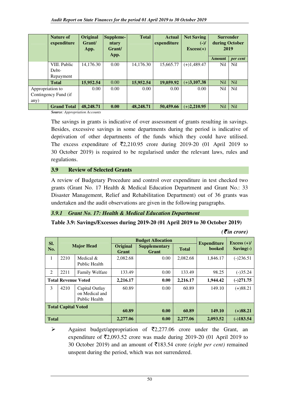|                      | <b>Nature of</b><br>expenditure | <b>Original</b><br>Grant/<br>App. | Suppleme-<br>ntary<br>Grant/<br>App. | <b>Total</b> | <b>Actual</b><br>expenditure | <b>Net Saving</b><br>$(-)/$<br>$Excess(+)$ | <b>Surrender</b><br>during October<br>2019 |                 |
|----------------------|---------------------------------|-----------------------------------|--------------------------------------|--------------|------------------------------|--------------------------------------------|--------------------------------------------|-----------------|
|                      |                                 |                                   |                                      |              |                              |                                            | <b>Amount</b>                              | per cent        |
|                      | VIII. Public                    | 14,176.30                         | 0.00                                 | 14,176.30    | 15.665.77                    | $(+)1,489.47$                              | Nil                                        | N <sub>i</sub>  |
|                      | Debt-                           |                                   |                                      |              |                              |                                            |                                            |                 |
|                      | Repayment                       |                                   |                                      |              |                              |                                            |                                            |                 |
|                      | <b>Total</b>                    | 15,952.54                         | 0.00                                 | 15,952.54    | 19,059.92                    | $(+)3,107.38$                              | Nil                                        | N <sub>il</sub> |
| Appropriation to     |                                 | 0.00                              | 0.00                                 | 0.00         | 0.00                         | 0.00                                       | Nil                                        | <b>Nil</b>      |
| Contingency Fund (if |                                 |                                   |                                      |              |                              |                                            |                                            |                 |
| any)                 |                                 |                                   |                                      |              |                              |                                            |                                            |                 |
|                      | <b>Grand Total</b>              | 48,248.71                         | 0.00                                 | 48,248.71    | 50,459.66                    | $(+)2,210.95$                              | <b>Nil</b>                                 | <b>Nil</b>      |

*Source: Appropriation Accounts* 

The savings in grants is indicative of over assessment of grants resulting in savings. Besides, excessive savings in some departments during the period is indicative of deprivation of other departments of the funds which they could have utilised. The excess expenditure of  $\overline{2}2,210.95$  crore during 2019-20 (01 April 2019 to 30 October 2019) is required to be regularised under the relevant laws, rules and regulations.

## **3.9 Review of Selected Grants**

A review of Budgetary Procedure and control over expenditure in test checked two grants (Grant No. 17 Health & Medical Education Department and Grant No.: 33 Disaster Management, Relief and Rehabilitation Department) out of 36 grants was undertaken and the audit observations are given in the following paragraphs.

## *3.9.1 Grant No. 17: Health & Medical Education Department*

## **Table 3.9: Savings/Excesses during 2019-20 (01 April 2019 to 30 October 2019)**

*(*` *in crore)*

|                            |      |                                                   |                          | <b>Budget Allocation</b>      |              | <b>Expenditure</b> | Excess $(+)/$ |
|----------------------------|------|---------------------------------------------------|--------------------------|-------------------------------|--------------|--------------------|---------------|
| SI.<br>No.                 |      | <b>Major Head</b>                                 | <b>Original</b><br>Grant | <b>Supplementary</b><br>Grant | <b>Total</b> | <b>booked</b>      | $Saving(-)$   |
| 1                          | 2210 | Medical $&$<br>Public Health                      | 2,082.68                 | 0.00                          | 2,082.68     | 1,846.17           | $(-)236.51$   |
| 2                          | 2211 | <b>Family Welfare</b>                             | 133.49                   | 0.00                          | 133.49       | 98.25              | $(-)35.24$    |
| <b>Total Revenue Voted</b> |      | 2.216.17                                          | 0.00                     | 2,216.17                      | 1,944.42     | $(-)271.75$        |               |
| 3                          | 4210 | Capital Outlay<br>on Medical and<br>Public Health | 60.89                    | 0.00                          | 60.89        | 149.10             | $(+)88.21$    |
| <b>Total Capital Voted</b> |      | 60.89                                             | 0.00                     | 60.89                         | 149.10       | $(+)88.21$         |               |
| <b>Total</b>               |      |                                                   | 2,277.06                 | 0.00                          | 2,277.06     | 2,093.52           | $(-)183.54$   |

 $\triangleright$  Against budget/appropriation of  $\overline{z}2,277.06$  crore under the Grant, an expenditure of  $\overline{52,093.52}$  crore was made during 2019-20 (01 April 2019 to 30 October 2019) and an amount of `183.54 crore *(eight per cent)* remained unspent during the period, which was not surrendered.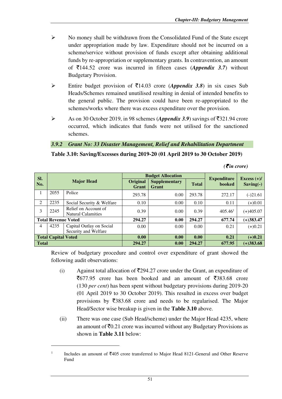- $\triangleright$  No money shall be withdrawn from the Consolidated Fund of the State except under appropriation made by law. Expenditure should not be incurred on a scheme/service without provision of funds except after obtaining additional funds by re-appropriation or supplementary grants. In contravention, an amount of  $\overline{\xi}$ 144.52 crore was incurred in fifteen cases (*Appendix 3.7*) without Budgetary Provision.
- Entire budget provision of  $\overline{5}14.03$  crore (*Appendix 3.8*) in six cases Sub Heads/Schemes remained unutilised resulting in denial of intended benefits to the general public. The provision could have been re-appropriated to the schemes/works where there was excess expenditure over the provision.
- As on 30 October 2019, in 98 schemes (*Appendix 3.9*) savings of  $\overline{5}321.94$  crore occurred, which indicates that funds were not utilised for the sanctioned schemes.

## *3.9.2 Grant No: 33 Disaster Management, Relief and Rehabilitation Department*

## **Table 3.10: Saving/Excesses during 2019-20 (01 April 2019 to 30 October 2019)**

| SI.                        |                            |                                                   |                          | <b>Budget Allocation</b>      |              |                                     |                              |
|----------------------------|----------------------------|---------------------------------------------------|--------------------------|-------------------------------|--------------|-------------------------------------|------------------------------|
| No.                        |                            | <b>Major Head</b>                                 | <b>Original</b><br>Grant | <b>Supplementary</b><br>Grant | <b>Total</b> | <b>Expenditure</b><br><b>booked</b> | Excess $(+)/$<br>$Saving(-)$ |
|                            | 2055                       | Police                                            | 293.78                   | 0.00                          | 293.78       | 272.17                              | $(-)21.61$                   |
| 2                          | 2235                       | Social Security & Welfare                         | 0.10                     | 0.00                          | 0.10         | 0.11                                | $(+)0.01$                    |
| 3                          | 2245                       | Relief on Account of<br><b>Natural Calamities</b> | 0.39                     | 0.00                          | 0.39         | 405.46 <sup>1</sup>                 | $(+)405.07$                  |
| <b>Total Revenue Voted</b> |                            |                                                   | 294.27                   | 0.00                          | 294.27       | 677.74                              | $(+)383.47$                  |
| 4                          | 4235                       | Capital Outlay on Social<br>Security and Welfare  | 0.00                     | 0.00                          | 0.00         | 0.21                                | $(+)0.21$                    |
|                            | <b>Total Capital Voted</b> |                                                   | 0.00                     | 0.00                          | 0.00         | 0.21                                | $(+)0.21$                    |
| <b>Total</b>               |                            |                                                   | 294.27                   | 0.00                          | 294.27       | 677.95                              | $(+)383.68$                  |

*(*` *in crore)* 

Review of budgetary procedure and control over expenditure of grant showed the following audit observations:

- (i) Against total allocation of  $\overline{5}294.27$  crore under the Grant, an expenditure of  $\overline{5}677.95$  crore has been booked and an amount of  $\overline{5}383.68$  crore (130 *per cent*) has been spent without budgetary provisions during 2019-20 (01 April 2019 to 30 October 2019). This resulted in excess over budget provisions by  $\overline{\xi}383.68$  crore and needs to be regularised. The Major Head/Sector wise breakup is given in the **Table 3.10** above.
- (ii) There was one case (Sub Head/scheme) under the Major Head 4235, where an amount of  $\bar{\mathbf{z}}_{0.21}$  crore was incurred without any Budgetary Provisions as shown in **Table 3.11** below:

<sup>1</sup> Includes an amount of  $\overline{5}405$  crore transferred to Major Head 8121-General and Other Reserve Fund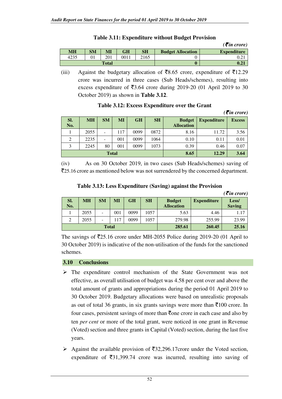|      |           |              |      |      |                          | $( \bar{\mathbf{\mathcal{F}}}$ in crore) |
|------|-----------|--------------|------|------|--------------------------|------------------------------------------|
| MН   | <b>SM</b> | $\bf MI$     | GH   | SH   | <b>Budget Allocation</b> | <b>Expenditure</b>                       |
| 4235 | v i       | 201          | 0011 | 2165 |                          | 0.21                                     |
|      |           | <b>Total</b> |      |      |                          | 0.21                                     |

## **Table 3.11: Expenditure without Budget Provision**

(iii) Against the budgetary allocation of  $\bar{z}8.65$  crore, expenditure of  $\bar{z}12.29$ crore was incurred in three cases (Sub Heads/schemes), resulting into excess expenditure of  $\overline{53.64}$  crore during 2019-20 (01 April 2019 to 30 October 2019) as shown in **Table 3.12**.

|                |           |              |     |           |           | $( \bar{\mathbf{\mathcal{F}}}$ in crore) |                    |               |
|----------------|-----------|--------------|-----|-----------|-----------|------------------------------------------|--------------------|---------------|
| SI.<br>No.     | <b>MH</b> | <b>SM</b>    | MI  | <b>GH</b> | <b>SH</b> | <b>Budget</b><br><b>Allocation</b>       | <b>Expenditure</b> | <b>Excess</b> |
|                | 2055      | ۰            | 117 | 0099      | 0872      | 8.16                                     | 11.72              | 3.56          |
| $\overline{c}$ | 2235      |              | 001 | 0099      | 1064      | 0.10                                     | 0.11               | 0.01          |
| 3              | 2245      | 80           | 001 | 0099      | 1073      | 0.39                                     | 0.46               | 0.07          |
|                |           | <b>Total</b> |     |           | 8.65      | 12.29                                    | 3.64               |               |

## **Table 3.12: Excess Expenditure over the Grant**

(iv) As on 30 October 2019, in two cases (Sub Heads/schemes) saving of `25.16 crore as mentioned below was not surrendered by the concerned department.

| Table 3.13: Less Expenditure (Saving) against the Provision |  |
|-------------------------------------------------------------|--|
|                                                             |  |
|                                                             |  |

|            |           |              |     |      |           |                                    |                    | $( \bar{\mathbf{z}}$ in crore) |
|------------|-----------|--------------|-----|------|-----------|------------------------------------|--------------------|--------------------------------|
| SI.<br>No. | <b>MH</b> | <b>SM</b>    | MI  | GH   | <b>SH</b> | <b>Budget</b><br><b>Allocation</b> | <b>Expenditure</b> | Less/<br><b>Saving</b>         |
|            | 2055      | -            | 001 | 0099 | 1057      | 5.63                               | 4.46               | 1.17                           |
|            | 2055      | -            | 117 | 0099 | 1057      | 279.98                             | 255.99             | 23.99                          |
|            |           | <b>Total</b> |     |      | 285.61    | 260.45                             | 25.16              |                                |

The savings of  $\overline{2}25.16$  crore under MH-2055 Police during 2019-20 (01 April to 30 October 2019) is indicative of the non-utilisation of the funds for the sanctioned schemes.

## **3.10 Conclusions**

- $\triangleright$  The expenditure control mechanism of the State Government was not effective, as overall utilisation of budget was 4.58 per cent over and above the total amount of grants and appropriations during the period 01 April 2019 to 30 October 2019. Budgetary allocations were based on unrealistic proposals as out of total 36 grants, in six grants savings were more than  $\overline{5}100$  crore. In four cases, persistent savings of more than  $\bar{\tau}$  one crore in each case and also by ten *per cent* or more of the total grant, were noticed in one grant in Revenue (Voted) section and three grants in Capital (Voted) section, during the last five years.
- $\triangleright$  Against the available provision of  $\overline{532,296.17}$ crore under the Voted section, expenditure of  $\overline{531,399.74}$  crore was incurred, resulting into saving of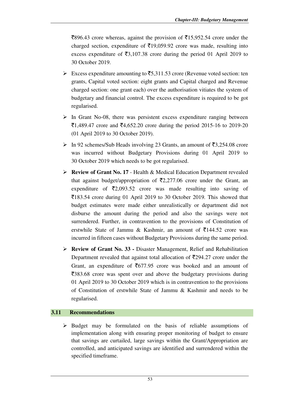$\overline{5896.43}$  crore whereas, against the provision of  $\overline{515,952.54}$  crore under the charged section, expenditure of  $\bar{\tau}$ 19,059.92 crore was made, resulting into excess expenditure of  $\overline{53,107.38}$  crore during the period 01 April 2019 to 30 October 2019.

- Excess expenditure amounting to  $\overline{5,311.53}$  crore (Revenue voted section: ten grants, Capital voted section: eight grants and Capital charged and Revenue charged section: one grant each) over the authorisation vitiates the system of budgetary and financial control. The excess expenditure is required to be got regularised.
- $\triangleright$  In Grant No-08, there was persistent excess expenditure ranging between  $\bar{5}1,489.47$  crore and  $\bar{5}4,652.20$  crore during the period 2015-16 to 2019-20 (01 April 2019 to 30 October 2019).
- $\triangleright$  In 92 schemes/Sub Heads involving 23 Grants, an amount of  $\overline{53,254.08}$  crore was incurred without Budgetary Provisions during 01 April 2019 to 30 October 2019 which needs to be got regularised.
- **Review of Grant No. 17** Health & Medical Education Department revealed that against budget/appropriation of  $\overline{2}2,277.06$  crore under the Grant, an expenditure of  $\bar{\mathfrak{z}}2,093.52$  crore was made resulting into saving of `183.54 crore during 01 April 2019 to 30 October 2019*.* This showed that budget estimates were made either unrealistically or department did not disburse the amount during the period and also the savings were not surrendered. Further, in contravention to the provisions of Constitution of erstwhile State of Jammu & Kashmir, an amount of  $\overline{5}144.52$  crore was incurred in fifteen cases without Budgetary Provisions during the same period.
- **Review of Grant No. 33** Disaster Management, Relief and Rehabilitation Department revealed that against total allocation of  $\overline{5}294.27$  crore under the Grant, an expenditure of  $\overline{5}677.95$  crore was booked and an amount of  $\overline{383.68}$  crore was spent over and above the budgetary provisions during 01 April 2019 to 30 October 2019 which is in contravention to the provisions of Constitution of erstwhile State of Jammu & Kashmir and needs to be regularised.

## **3.11 Recommendations**

 $\triangleright$  Budget may be formulated on the basis of reliable assumptions of implementation along with ensuring proper monitoring of budget to ensure that savings are curtailed, large savings within the Grant/Appropriation are controlled, and anticipated savings are identified and surrendered within the specified timeframe.